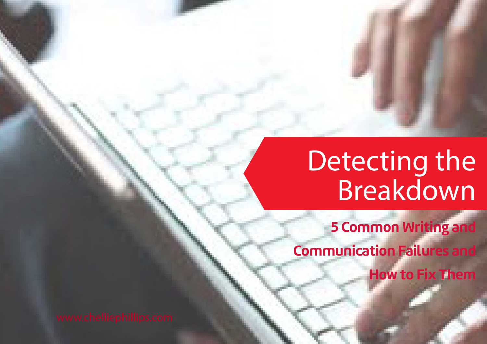# Detecting the Breakdown

**5 Common Writing and** 

**Communication Failures and** 

**How to Fix Them**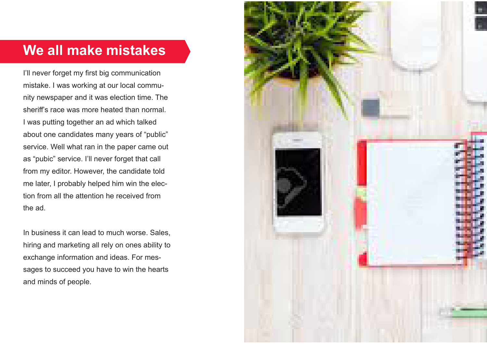### **We all make mistakes**

I'll never forget my first big communication mistake. I was working at our local community newspaper and it was election time. The sheriff's race was more heated than normal. I was putting together an ad which talked about one candidates many years of "public" service. Well what ran in the paper came out as "pubic" service. I'll never forget that call from my editor. However, the candidate told me later, I probably helped him win the election from all the attention he received from the ad.

In business it can lead to much worse. Sales, hiring and marketing all rely on ones ability to exchange information and ideas. For messages to succeed you have to win the hearts and minds of people.

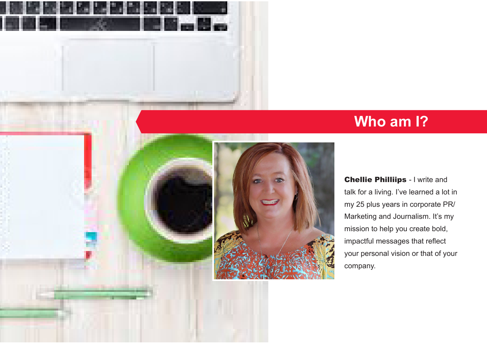



**Chellie Philliips - I write and** talk for a living. I've learned a lot in my 25 plus years in corporate PR/ Marketing and Journalism. It's my mission to help you create bold, impactful messages that reflect your personal vision or that of your company.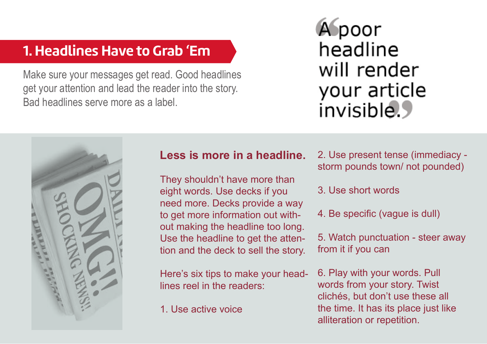### **1. Headlines Have to Grab 'Em**

Make sure your messages get read. Good headlines get your attention and lead the reader into the story. Bad headlines serve more as a label.

# Apoor headline will render your article invisible.



#### **Less is more in a headline.**

They shouldn't have more than eight words. Use decks if you need more. Decks provide a way to get more information out without making the headline too long. Use the headline to get the attention and the deck to sell the story.

Here's six tips to make your headlines reel in the readers:

1. Use active voice

2. Use present tense (immediacy storm pounds town/ not pounded)

- 3. Use short words
- 4. Be specific (vague is dull)

5. Watch punctuation - steer away from it if you can

6. Play with your words. Pull words from your story. Twist clichés, but don't use these all the time. It has its place just like alliteration or repetition.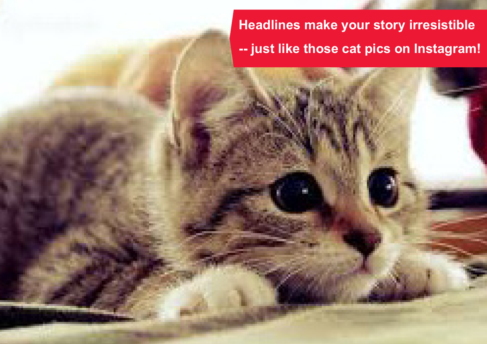**Headlines make your story irresistible -- just like those cat pics on Instagram!**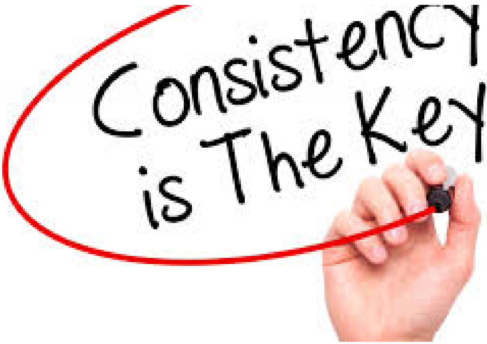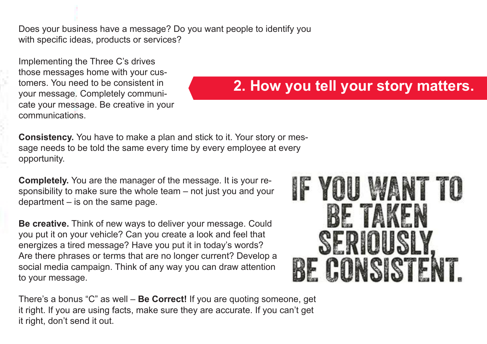Does your business have a message? Do you want people to identify you with specific ideas, products or services?

Implementing the Three C's drives those messages home with your customers. You need to be consistent in your message. Completely communicate your message. Be creative in your communications.

### **2. How you tell your story matters.**

**Consistency.** You have to make a plan and stick to it. Your story or message needs to be told the same every time by every employee at every opportunity.

**Completely.** You are the manager of the message. It is your responsibility to make sure the whole team – not just you and your department – is on the same page.

**Be creative.** Think of new ways to deliver your message. Could you put it on your vehicle? Can you create a look and feel that energizes a tired message? Have you put it in today's words? Are there phrases or terms that are no longer current? Develop a social media campaign. Think of any way you can draw attention to your message.

There's a bonus "C" as well – **Be Correct!** If you are quoting someone, get it right. If you are using facts, make sure they are accurate. If you can't get it right, don't send it out.

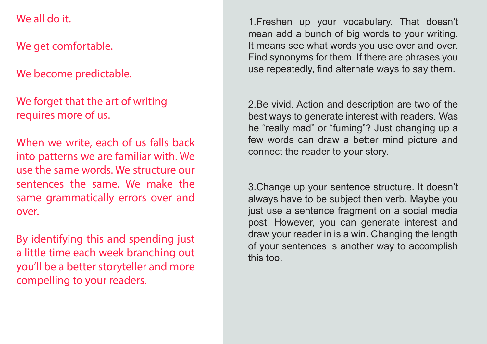#### We all do it.

We get comfortable.

We become predictable.

We forget that the art of writing requires more of us.

When we write, each of us falls back into patterns we are familiar with. We use the same words. We structure our sentences the same. We make the same grammatically errors over and over.

By identifying this and spending just a little time each week branching out you'll be a better storyteller and more compelling to your readers.

1.Freshen up your vocabulary. That doesn't mean add a bunch of big words to your writing. It means see what words you use over and over. Find synonyms for them. If there are phrases you use repeatedly, find alternate ways to say them.

2.Be vivid. Action and description are two of the best ways to generate interest with readers. Was he "really mad" or "fuming"? Just changing up a few words can draw a better mind picture and connect the reader to your story.

3.Change up your sentence structure. It doesn't always have to be subject then verb. Maybe you just use a sentence fragment on a social media post. However, you can generate interest and draw your reader in is a win. Changing the length of your sentences is another way to accomplish this too.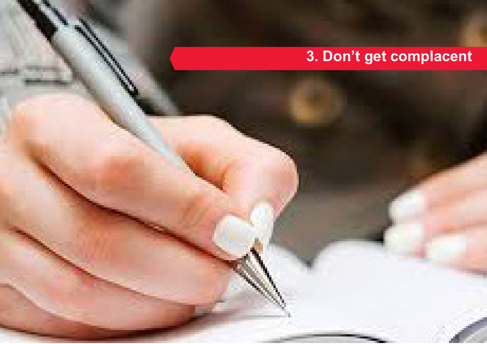# **3. Don't get complacent**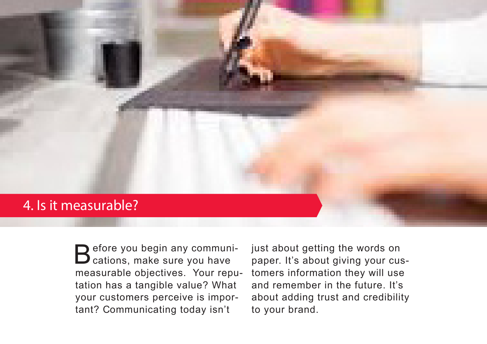#### 4. Is it measurable?

Before you begin any communi-<br>B cations, make sure you have measurable objectives. Your reputation has a tangible value? What your customers perceive is important? Communicating today isn't

just about getting the words on paper. It's about giving your customers information they will use and remember in the future. It's about adding trust and credibility to your brand.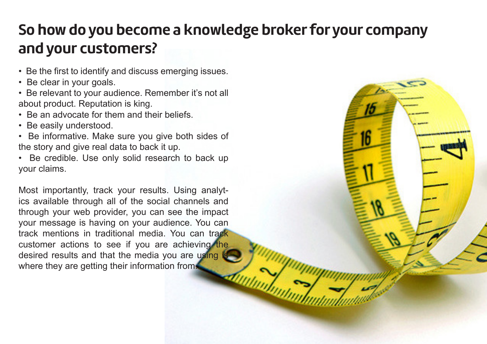## **So how do you become a knowledge broker for your company and your customers?**

- Be the first to identify and discuss emerging issues.
- Be clear in your goals.
- Be relevant to your audience. Remember it's not all about product. Reputation is king.
- Be an advocate for them and their beliefs.
- Be easily understood.
- Be informative. Make sure you give both sides of the story and give real data to back it up.
- Be credible. Use only solid research to back up your claims.

Most importantly, track your results. Using analytics available through all of the social channels and through your web provider, you can see the impact your message is having on your audience. You can track mentions in traditional media. You can track customer actions to see if you are achieving the desired results and that the media you are using where they are getting their information from.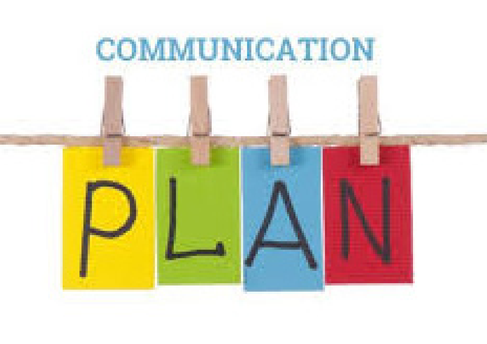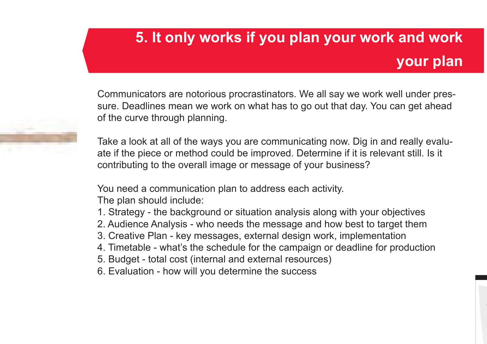# **5. It only works if you plan your work and work your plan**

Communicators are notorious procrastinators. We all say we work well under pressure. Deadlines mean we work on what has to go out that day. You can get ahead of the curve through planning.

Take a look at all of the ways you are communicating now. Dig in and really evaluate if the piece or method could be improved. Determine if it is relevant still. Is it contributing to the overall image or message of your business?

You need a communication plan to address each activity.

The plan should include:

- 1. Strategy the background or situation analysis along with your objectives
- 2. Audience Analysis who needs the message and how best to target them
- 3. Creative Plan key messages, external design work, implementation
- 4. Timetable what's the schedule for the campaign or deadline for production
- 5. Budget total cost (internal and external resources)
- 6. Evaluation how will you determine the success